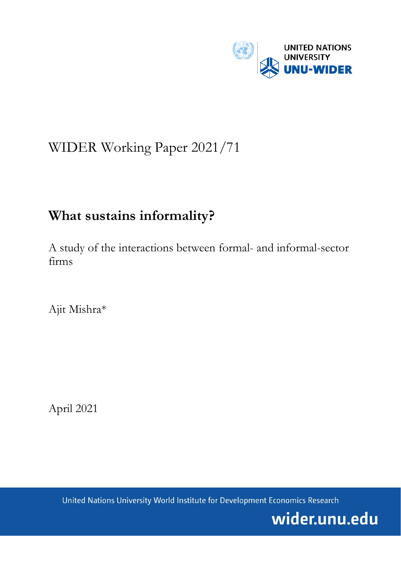

# WIDER Working Paper 2021/71

# **What sustains informality?**

A study of the interactions between formal- and informal-sector firms

Ajit Mishra\*

April 2021

United Nations University World Institute for Development Economics Research

wider.unu.edu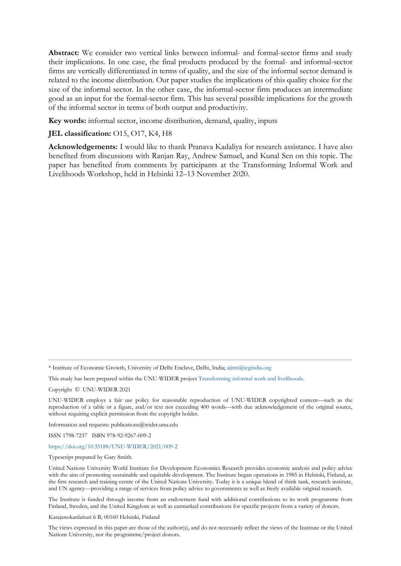**Abstract:** We consider two vertical links between informal- and formal-sector firms and study their implications. In one case, the final products produced by the formal- and informal-sector firms are vertically differentiated in terms of quality, and the size of the informal sector demand is related to the income distribution. Our paper studies the implications of this quality choice for the size of the informal sector. In the other case, the informal-sector firm produces an intermediate good as an input for the formal-sector firm. This has several possible implications for the growth of the informal sector in terms of both output and productivity.

**Key words:** informal sector, income distribution, demand, quality, inputs

### **JEL classification:** O15, O17, K4, H8

**Acknowledgements:** I would like to thank Pranava Kadaliya for research assistance. I have also benefited from discussions with Ranjan Ray, Andrew Samuel, and Kunal Sen on this topic. The paper has benefited from comments by participants at the Transforming Informal Work and Livelihoods Workshop, held in Helsinki 12–13 November 2020.

\* Institute of Economic Growth, University of Delhi Enclave, Delhi, India; [ajitm@iegindia.org](mailto:ajitm@iegindia.org)

This study has been prepared within the UNU-WIDER projec[t Transforming informal work and livelihoods.](https://www.wider.unu.edu/node/187589)

Copyright © UNU-WIDER 2021

UNU-WIDER employs a fair use policy for reasonable reproduction of UNU-WIDER copyrighted content—such as the reproduction of a table or a figure, and/or text not exceeding 400 words—with due acknowledgement of the original source, without requiring explicit permission from the copyright holder.

Information and requests: publications@wider.unu.edu

ISSN 1798-7237 ISBN 978-92-9267-009-2

<https://doi.org/10.35188/UNU-WIDER/2021/009-2>

Typescript prepared by Gary Smith.

United Nations University World Institute for Development Economics Research provides economic analysis and policy advice with the aim of promoting sustainable and equitable development. The Institute began operations in 1985 in Helsinki, Finland, as the first research and training centre of the United Nations University. Today it is a unique blend of think tank, research institute, and UN agency—providing a range of services from policy advice to governments as well as freely available original research.

The Institute is funded through income from an endowment fund with additional contributions to its work programme from Finland, Sweden, and the United Kingdom as well as earmarked contributions for specific projects from a variety of donors.

Katajanokanlaituri 6 B, 00160 Helsinki, Finland

The views expressed in this paper are those of the author(s), and do not necessarily reflect the views of the Institute or the United Nations University, nor the programme/project donors.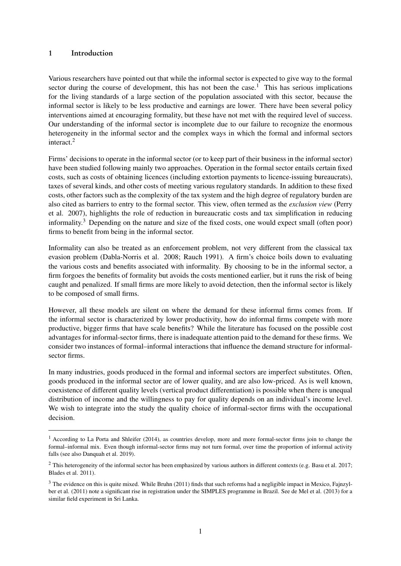### <span id="page-2-0"></span>1 Introduction

Various researchers have pointed out that while the informal sector is expected to give way to the formal sector during the course of development, this has not been the case.<sup>1</sup> This has serious implications for the living standards of a large section of the population associated with this sector, because the informal sector is likely to be less productive and earnings are lower. There have been several policy interventions aimed at encouraging formality, but these have not met with the required level of success. Our understanding of the informal sector is incomplete due to our failure to recognize the enormous heterogeneity in the informal sector and the complex ways in which the formal and informal sectors interact.<sup>2</sup>

Firms' decisions to operate in the informal sector (or to keep part of their business in the informal sector) have been studied following mainly two approaches. Operation in the formal sector entails certain fixed costs, such as costs of obtaining licences (including extortion payments to licence-issuing bureaucrats), taxes of several kinds, and other costs of meeting various regulatory standards. In addition to these fixed costs, other factors such as the complexity of the tax system and the high degree of regulatory burden are also cited as barriers to entry to the formal sector. This view, often termed as the *exclusion view* (Perry et al. 2007), highlights the role of reduction in bureaucratic costs and tax simplification in reducing informality.<sup>3</sup> Depending on the nature and size of the fixed costs, one would expect small (often poor) firms to benefit from being in the informal sector.

Informality can also be treated as an enforcement problem, not very different from the classical tax evasion problem (Dabla-Norris et al. 2008; Rauch 1991). A firm's choice boils down to evaluating the various costs and benefits associated with informality. By choosing to be in the informal sector, a firm forgoes the benefits of formality but avoids the costs mentioned earlier, but it runs the risk of being caught and penalized. If small firms are more likely to avoid detection, then the informal sector is likely to be composed of small firms.

However, all these models are silent on where the demand for these informal firms comes from. If the informal sector is characterized by lower productivity, how do informal firms compete with more productive, bigger firms that have scale benefits? While the literature has focused on the possible cost advantages for informal-sector firms, there is inadequate attention paid to the demand for these firms. We consider two instances of formal–informal interactions that influence the demand structure for informalsector firms.

In many industries, goods produced in the formal and informal sectors are imperfect substitutes. Often, goods produced in the informal sector are of lower quality, and are also low-priced. As is well known, coexistence of different quality levels (vertical product differentiation) is possible when there is unequal distribution of income and the willingness to pay for quality depends on an individual's income level. We wish to integrate into the study the quality choice of informal-sector firms with the occupational decision.

<sup>&</sup>lt;sup>1</sup> According to La Porta and Shleifer (2014), as countries develop, more and more formal-sector firms join to change the formal–informal mix. Even though informal-sector firms may not turn formal, over time the proportion of informal activity falls (see also Danquah et al. 2019).

<sup>&</sup>lt;sup>2</sup> This heterogeneity of the informal sector has been emphasized by various authors in different contexts (e.g. Basu et al. 2017; Blades et al. 2011).

 $3$  The evidence on this is quite mixed. While Bruhn (2011) finds that such reforms had a negligible impact in Mexico, Fajnzylber et al. (2011) note a significant rise in registration under the SIMPLES programme in Brazil. See de Mel et al. (2013) for a similar field experiment in Sri Lanka.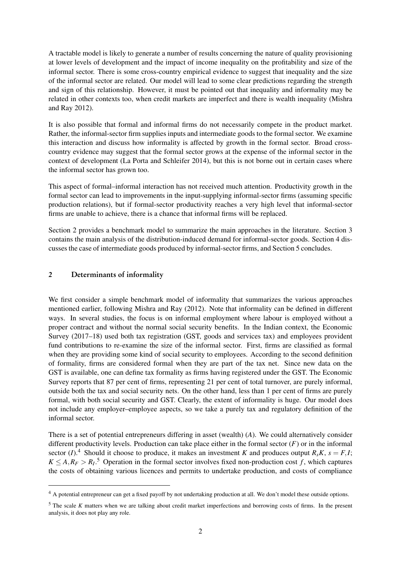A tractable model is likely to generate a number of results concerning the nature of quality provisioning at lower levels of development and the impact of income inequality on the profitability and size of the informal sector. There is some cross-country empirical evidence to suggest that inequality and the size of the informal sector are related. Our model will lead to some clear predictions regarding the strength and sign of this relationship. However, it must be pointed out that inequality and informality may be related in other contexts too, when credit markets are imperfect and there is wealth inequality (Mishra and Ray 2012).

It is also possible that formal and informal firms do not necessarily compete in the product market. Rather, the informal-sector firm supplies inputs and intermediate goods to the formal sector. We examine this interaction and discuss how informality is affected by growth in the formal sector. Broad crosscountry evidence may suggest that the formal sector grows at the expense of the informal sector in the context of development (La Porta and Schleifer 2014), but this is not borne out in certain cases where the informal sector has grown too.

This aspect of formal–informal interaction has not received much attention. Productivity growth in the formal sector can lead to improvements in the input-supplying informal-sector firms (assuming specific production relations), but if formal-sector productivity reaches a very high level that informal-sector firms are unable to achieve, there is a chance that informal firms will be replaced.

Section 2 provides a benchmark model to summarize the main approaches in the literature. Section 3 contains the main analysis of the distribution-induced demand for informal-sector goods. Section 4 discusses the case of intermediate goods produced by informal-sector firms, and Section 5 concludes.

#### 2 Determinants of informality

We first consider a simple benchmark model of informality that summarizes the various approaches mentioned earlier, following Mishra and Ray (2012). Note that informality can be defined in different ways. In several studies, the focus is on informal employment where labour is employed without a proper contract and without the normal social security benefits. In the Indian context, the Economic Survey (2017–18) used both tax registration (GST, goods and services tax) and employees provident fund contributions to re-examine the size of the informal sector. First, firms are classified as formal when they are providing some kind of social security to employees. According to the second definition of formality, firms are considered formal when they are part of the tax net. Since new data on the GST is available, one can define tax formality as firms having registered under the GST. The Economic Survey reports that 87 per cent of firms, representing 21 per cent of total turnover, are purely informal, outside both the tax and social security nets. On the other hand, less than 1 per cent of firms are purely formal, with both social security and GST. Clearly, the extent of informality is huge. Our model does not include any employer–employee aspects, so we take a purely tax and regulatory definition of the informal sector.

There is a set of potential entrepreneurs differing in asset (wealth) (*A*). We could alternatively consider different productivity levels. Production can take place either in the formal sector  $(F)$  or in the informal sector  $(I)$ .<sup>[4](#page-2-0)</sup> Should it choose to produce, it makes an investment *K* and produces output *R<sub>s</sub>K*,  $s = F, I$ ;  $K \leq A, R_F > R_I$ <sup>[5](#page-2-0)</sup> Operation in the formal sector involves fixed non-production cost *f*, which captures the costs of obtaining various licences and permits to undertake production, and costs of compliance

<sup>&</sup>lt;sup>4</sup> A potential entrepreneur can get a fixed payoff by not undertaking production at all. We don't model these outside options.

<sup>&</sup>lt;sup>5</sup> The scale *K* matters when we are talking about credit market imperfections and borrowing costs of firms. In the present analysis, it does not play any role.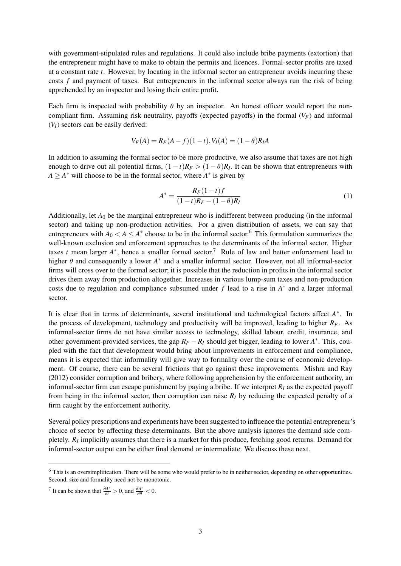with government-stipulated rules and regulations. It could also include bribe payments (extortion) that the entrepreneur might have to make to obtain the permits and licences. Formal-sector profits are taxed at a constant rate *t*. However, by locating in the informal sector an entrepreneur avoids incurring these costs *f* and payment of taxes. But entrepreneurs in the informal sector always run the risk of being apprehended by an inspector and losing their entire profit.

Each firm is inspected with probability *θ* by an inspector. An honest officer would report the noncompliant firm. Assuming risk neutrality, payoffs (expected payoffs) in the formal  $(V_F)$  and informal  $(V_I)$  sectors can be easily derived:

$$
V_F(A) = R_F(A - f)(1 - t), V_I(A) = (1 - \theta)R_I A
$$

In addition to assuming the formal sector to be more productive, we also assume that taxes are not high enough to drive out all potential firms,  $(1-t)R_F > (1-\theta)R_I$ . It can be shown that entrepreneurs with  $A \geq A^*$  will choose to be in the formal sector, where  $A^*$  is given by

$$
A^* = \frac{R_F(1-t)f}{(1-t)R_F - (1-\theta)R_I}
$$
\n(1)

Additionally, let *A*<sup>0</sup> be the marginal entrepreneur who is indifferent between producing (in the informal sector) and taking up non-production activities. For a given distribution of assets, we can say that entrepreneurs with  $A_0 < A \leq A^*$  choose to be in the informal sector.<sup>[6](#page-2-0)</sup> This formulation summarizes the well-known exclusion and enforcement approaches to the determinants of the informal sector. Higher taxes *t* mean larger *A* ∗ , hence a smaller formal sector.[7](#page-2-0) Rule of law and better enforcement lead to higher  $\theta$  and consequently a lower  $A^*$  and a smaller informal sector. However, not all informal-sector firms will cross over to the formal sector; it is possible that the reduction in profits in the informal sector drives them away from production altogether. Increases in various lump-sum taxes and non-production costs due to regulation and compliance subsumed under  $f$  lead to a rise in  $A^*$  and a larger informal sector.

It is clear that in terms of determinants, several institutional and technological factors affect *A* ∗ . In the process of development, technology and productivity will be improved, leading to higher  $R_F$ . As informal-sector firms do not have similar access to technology, skilled labour, credit, insurance, and other government-provided services, the gap  $R_F - R_I$  should get bigger, leading to lower  $A^*$ . This, coupled with the fact that development would bring about improvements in enforcement and compliance, means it is expected that informality will give way to formality over the course of economic development. Of course, there can be several frictions that go against these improvements. Mishra and Ray (2012) consider corruption and bribery, where following apprehension by the enforcement authority, an informal-sector firm can escape punishment by paying a bribe. If we interpret  $R_I$  as the expected payoff from being in the informal sector, then corruption can raise  $R_I$  by reducing the expected penalty of a firm caught by the enforcement authority.

Several policy prescriptions and experiments have been suggested to influence the potential entrepreneur's choice of sector by affecting these determinants. But the above analysis ignores the demand side completely.  $R_I$  implicitly assumes that there is a market for this produce, fetching good returns. Demand for informal-sector output can be either final demand or intermediate. We discuss these next.

<sup>6</sup> This is an oversimplification. There will be some who would prefer to be in neither sector, depending on other opportunities. Second, size and formality need not be monotonic.

<sup>&</sup>lt;sup>7</sup> It can be shown that  $\frac{\partial A^*}{\partial t}$  $\frac{\partial A^*}{\partial t} > 0$ , and  $\frac{\partial A^*}{\partial \theta}$  $\frac{\partial A^*}{\partial \theta} < 0.$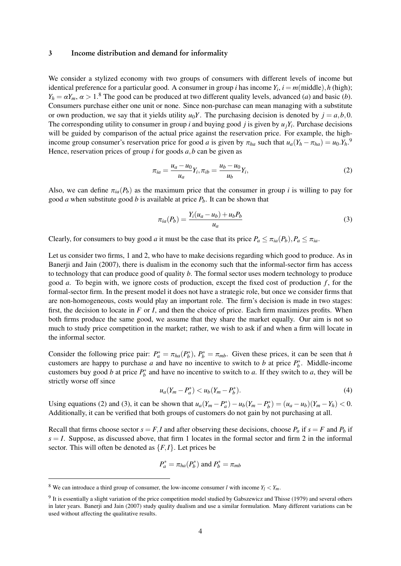#### 3 Income distribution and demand for informality

We consider a stylized economy with two groups of consumers with different levels of income but identical preference for a particular good. A consumer in group *i* has income  $Y_i$ ,  $i = m$ (middle), *h* (high);  $Y_h = \alpha Y_m$ ,  $\alpha > 1$ .<sup>[8](#page-2-0)</sup> The good can be produced at two different quality levels, advanced (*a*) and basic (*b*). Consumers purchase either one unit or none. Since non-purchase can mean managing with a substitute or own production, we say that it yields utility  $u_0Y$ . The purchasing decision is denoted by  $j = a, b, 0$ . The corresponding utility to consumer in group *i* and buying good *j* is given by  $u_jY_i$ . Purchase decisions will be guided by comparison of the actual price against the reservation price. For example, the highincome group consumer's reservation price for good *a* is given by  $\pi_{ha}$  such that  $u_a(Y_h - \pi_{ha}) = u_0.Y_h$ .<sup>[9](#page-2-0)</sup> Hence, reservation prices of group *i* for goods *a*,*b* can be given as

$$
\pi_{ia} = \frac{u_a - u_0}{u_a} Y_i, \pi_{ib} = \frac{u_b - u_0}{u_b} Y_i,
$$
\n(2)

Also, we can define  $\pi_{ia}(P_b)$  as the maximum price that the consumer in group *i* is willing to pay for good *a* when substitute good *b* is available at price *Pb*. It can be shown that

$$
\pi_{ia}(P_b) = \frac{Y_i(u_a - u_b) + u_b P_b}{u_a} \tag{3}
$$

Clearly, for consumers to buy good *a* it must be the case that its price  $P_a \leq \pi_{ia}(P_b)$ ,  $P_a \leq \pi_{ia}$ .

Let us consider two firms, 1 and 2, who have to make decisions regarding which good to produce. As in Banerji and Jain (2007), there is dualism in the economy such that the informal-sector firm has access to technology that can produce good of quality *b*. The formal sector uses modern technology to produce good  $a$ . To begin with, we ignore costs of production, except the fixed cost of production  $f$ , for the formal-sector firm. In the present model it does not have a strategic role, but once we consider firms that are non-homogeneous, costs would play an important role. The firm's decision is made in two stages: first, the decision to locate in *F* or *I*, and then the choice of price. Each firm maximizes profits. When both firms produce the same good, we assume that they share the market equally. Our aim is not so much to study price competition in the market; rather, we wish to ask if and when a firm will locate in the informal sector.

Consider the following price pair:  $P_a^* = \pi_{ha}(P_b^*)$ ,  $P_b^* = \pi_{mb}$ . Given these prices, it can be seen that *h* customers are happy to purchase *a* and have no incentive to switch to *b* at price  $P_b^*$ . Middle-income customers buy good *b* at price  $P_b^*$  and have no incentive to switch to *a*. If they switch to *a*, they will be strictly worse off since

$$
u_a(Y_m - P_a^*) < u_b(Y_m - P_b^*). \tag{4}
$$

Using equations (2) and (3), it can be shown that  $u_a(Y_m - P_a^*) - u_b(Y_m - P_b^*) = (u_a - u_b)(Y_m - Y_h) < 0$ . Additionally, it can be verified that both groups of customers do not gain by not purchasing at all.

Recall that firms choose sector  $s = F$ , *I* and after observing these decisions, choose  $P_a$  if  $s = F$  and  $P_b$  if  $s = I$ . Suppose, as discussed above, that firm 1 locates in the formal sector and firm 2 in the informal sector. This will often be denoted as  $\{F, I\}$ . Let prices be

$$
P_a^* = \pi_{ha}(P_b^*)
$$
 and 
$$
P_b^* = \pi_{mb}
$$

<sup>&</sup>lt;sup>8</sup> We can introduce a third group of consumer, the low-income consumer *l* with income  $Y_l < Y_m$ .

<sup>&</sup>lt;sup>9</sup> It is essentially a slight variation of the price competition model studied by Gabszewicz and Thisse (1979) and several others in later years. Banerji and Jain (2007) study quality dualism and use a similar formulation. Many different variations can be used without affecting the qualitative results.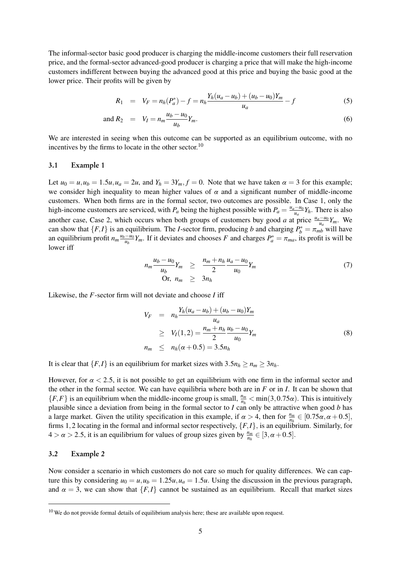The informal-sector basic good producer is charging the middle-income customers their full reservation price, and the formal-sector advanced-good producer is charging a price that will make the high-income customers indifferent between buying the advanced good at this price and buying the basic good at the lower price. Their profits will be given by

$$
R_1 = V_F = n_h(P_a^*) - f = n_h \frac{Y_h(u_a - u_b) + (u_b - u_0)Y_m}{u_a} - f \tag{5}
$$

and 
$$
R_2 = V_I = n_m \frac{u_b - u_0}{u_b} Y_m.
$$
 (6)

We are interested in seeing when this outcome can be supported as an equilibrium outcome, with no incentives by the firms to locate in the other sector.<sup>[10](#page-2-0)</sup>

#### 3.1 Example 1

Let  $u_0 = u, u_b = 1.5u, u_a = 2u$ , and  $Y_h = 3Y_m, f = 0$ . Note that we have taken  $\alpha = 3$  for this example; we consider high inequality to mean higher values of  $\alpha$  and a significant number of middle-income customers. When both firms are in the formal sector, two outcomes are possible. In Case 1, only the high-income customers are serviced, with  $P_a$  being the highest possible with  $P_a = \frac{u_a - u_0}{u_a}$  $\frac{u^{-1}}{u_a} Y_h$ . There is also another case, Case 2, which occurs when both groups of customers buy good *a* at price  $\frac{u_a - u_0}{u_a} Y_m$ . We can show that  $\{F, I\}$  is an equilibrium. The *I*-sector firm, producing *b* and charging  $P_b^* = \pi_{mb}^{-a}$  will have an equilibrium profit  $n_m \frac{u_b - u_0}{u_b}$  $\frac{(-u_0}{u_b}Y_m$ . If it deviates and chooses *F* and charges  $P_a^* = \pi_{ma}$ , its profit is will be lower iff

$$
n_m \frac{u_b - u_0}{u_b} Y_m \geq \frac{n_m + n_h}{2} \frac{u_a - u_0}{u_0} Y_m
$$
  
Or, 
$$
n_m \geq 3n_h
$$
 (7)

Likewise, the *F*-sector firm will not deviate and choose *I* iff

$$
V_F = n_h \frac{Y_h(u_a - u_b) + (u_b - u_0)Y_m}{u_a}
$$
  
\n
$$
\geq V_I(1, 2) = \frac{n_m + n_h u_b - u_0}{2}Y_m
$$
  
\n
$$
n_m \leq n_h(\alpha + 0.5) = 3.5n_h
$$
 (8)

It is clear that  ${F, I}$  is an equilibrium for market sizes with  $3.5n_h \ge n_m \ge 3n_h$ .

However, for  $\alpha$  < 2.5, it is not possible to get an equilibrium with one firm in the informal sector and the other in the formal sector. We can have equilibria where both are in *F* or in *I*. It can be shown that  ${F,F}$  is an equilibrium when the middle-income group is small,  $\frac{n_m}{n_h} < \min(3,0.75\alpha)$ . This is intuitively plausible since a deviation from being in the formal sector to *I* can only be attractive when good *b* has a large market. Given the utility specification in this example, if  $\alpha > 4$ , then for  $\frac{n_m}{n_h} \in [0.75\alpha, \alpha + 0.5]$ , firms 1,2 locating in the formal and informal sector respectively, {*F*,*I*}, is an equilibrium. Similarly, for  $4 > \alpha > 2.5$ , it is an equilibrium for values of group sizes given by  $\frac{n_m}{n_h} \in [3, \alpha + 0.5]$ .

#### 3.2 Example 2

Now consider a scenario in which customers do not care so much for quality differences. We can capture this by considering  $u_0 = u, u_b = 1.25u, u_a = 1.5u$ . Using the discussion in the previous paragraph, and  $\alpha = 3$ , we can show that  $\{F, I\}$  cannot be sustained as an equilibrium. Recall that market sizes

 $10$  We do not provide formal details of equilibrium analysis here; these are available upon request.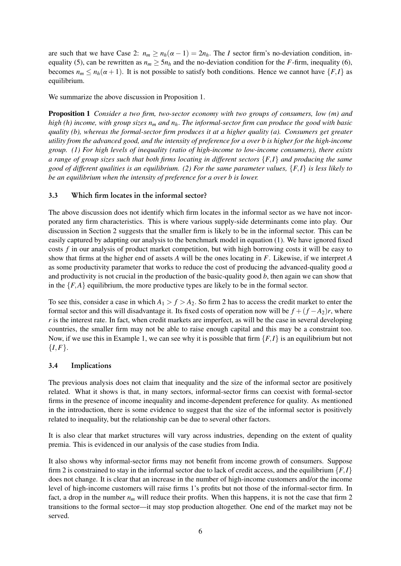are such that we have Case 2:  $n_m \geq n_h(\alpha - 1) = 2n_h$ . The *I* sector firm's no-deviation condition, inequality (5), can be rewritten as  $n_m \geq 5n_h$  and the no-deviation condition for the *F*-firm, inequality (6), becomes  $n_m \leq n_h(\alpha + 1)$ . It is not possible to satisfy both conditions. Hence we cannot have  $\{F, I\}$  as equilibrium.

We summarize the above discussion in Proposition 1.

Proposition 1 *Consider a two firm, two-sector economy with two groups of consumers, low (m) and high (h) income, with group sizes n<sup>m</sup> and nh*. *The informal-sector firm can produce the good with basic quality (b), whereas the formal-sector firm produces it at a higher quality (a). Consumers get greater utility from the advanced good, and the intensity of preference for a over b is higher for the high-income group. (1) For high levels of inequality (ratio of high-income to low-income consumers), there exists a range of group sizes such that both firms locating in different sectors* {*F*,*I*} *and producing the same good of different qualities is an equilibrium. (2) For the same parameter values,* {*F*,*I*} *is less likely to be an equilibrium when the intensity of preference for a over b is lower.*

# 3.3 Which firm locates in the informal sector?

The above discussion does not identify which firm locates in the informal sector as we have not incorporated any firm characteristics. This is where various supply-side determinants come into play. Our discussion in Section 2 suggests that the smaller firm is likely to be in the informal sector. This can be easily captured by adapting our analysis to the benchmark model in equation (1). We have ignored fixed costs *f* in our analysis of product market competition, but with high borrowing costs it will be easy to show that firms at the higher end of assets *A* will be the ones locating in *F*. Likewise, if we interpret *A* as some productivity parameter that works to reduce the cost of producing the advanced-quality good *a* and productivity is not crucial in the production of the basic-quality good *b*, then again we can show that in the  ${F,A}$  equilibrium, the more productive types are likely to be in the formal sector.

To see this, consider a case in which  $A_1 > f > A_2$ . So firm 2 has to access the credit market to enter the formal sector and this will disadvantage it. Its fixed costs of operation now will be  $f + (f - A_2)r$ , where *r* is the interest rate. In fact, when credit markets are imperfect, as will be the case in several developing countries, the smaller firm may not be able to raise enough capital and this may be a constraint too. Now, if we use this in Example 1, we can see why it is possible that firm  $\{F, I\}$  is an equilibrium but not  $\{I, F\}.$ 

#### 3.4 Implications

The previous analysis does not claim that inequality and the size of the informal sector are positively related. What it shows is that, in many sectors, informal-sector firms can coexist with formal-sector firms in the presence of income inequality and income-dependent preference for quality. As mentioned in the introduction, there is some evidence to suggest that the size of the informal sector is positively related to inequality, but the relationship can be due to several other factors.

It is also clear that market structures will vary across industries, depending on the extent of quality premia. This is evidenced in our analysis of the case studies from India.

It also shows why informal-sector firms may not benefit from income growth of consumers. Suppose firm 2 is constrained to stay in the informal sector due to lack of credit access, and the equilibrium  $\{F, I\}$ does not change. It is clear that an increase in the number of high-income customers and/or the income level of high-income customers will raise firms 1's profits but not those of the informal-sector firm. In fact, a drop in the number *n<sup>m</sup>* will reduce their profits. When this happens, it is not the case that firm 2 transitions to the formal sector—it may stop production altogether. One end of the market may not be served.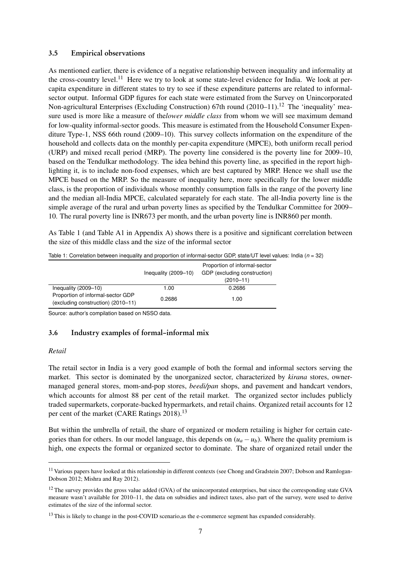#### 3.5 Empirical observations

As mentioned earlier, there is evidence of a negative relationship between inequality and informality at the cross-country level.<sup>[11](#page-2-0)</sup> Here we try to look at some state-level evidence for India. We look at percapita expenditure in different states to try to see if these expenditure patterns are related to informalsector output. Informal GDP figures for each state were estimated from the Survey on Unincorporated Non-agricultural Enterprises (Excluding Construction) 67th round  $(2010-11).$ <sup>[12](#page-2-0)</sup> The 'inequality' measure used is more like a measure of the*lower middle class* from whom we will see maximum demand for low-quality informal-sector goods. This measure is estimated from the Household Consumer Expenditure Type-1, NSS 66th round (2009–10). This survey collects information on the expenditure of the household and collects data on the monthly per-capita expenditure (MPCE), both uniform recall period (URP) and mixed recall period (MRP). The poverty line considered is the poverty line for 2009–10, based on the Tendulkar methodology. The idea behind this poverty line, as specified in the report highlighting it, is to include non-food expenses, which are best captured by MRP. Hence we shall use the MPCE based on the MRP. So the measure of inequality here, more specifically for the lower middle class, is the proportion of individuals whose monthly consumption falls in the range of the poverty line and the median all-India MPCE, calculated separately for each state. The all-India poverty line is the simple average of the rural and urban poverty lines as specified by the Tendulkar Committee for 2009– 10. The rural poverty line is INR673 per month, and the urban poverty line is INR860 per month.

As Table 1 (and Table A1 in Appendix A) shows there is a positive and significant correlation between the size of this middle class and the size of the informal sector

|                                                                         | Inequality $(2009-10)$ | Proportion of informal-sector<br>GDP (excluding construction)<br>$(2010 - 11)$ |
|-------------------------------------------------------------------------|------------------------|--------------------------------------------------------------------------------|
| Inequality $(2009-10)$                                                  | 1.00                   | 0.2686                                                                         |
| Proportion of informal-sector GDP<br>(excluding construction) (2010-11) | 0.2686                 | 1.00                                                                           |

Table 1: Correlation between inequality and proportion of informal-sector GDP, state/UT level values: India ( $n = 32$ )

Source: author's compilation based on NSSO data.

#### 3.6 Industry examples of formal–informal mix

#### *Retail*

The retail sector in India is a very good example of both the formal and informal sectors serving the market. This sector is dominated by the unorganized sector, characterized by *kirana* stores, ownermanaged general stores, mom-and-pop stores, *beedi/pan* shops, and pavement and handcart vendors, which accounts for almost 88 per cent of the retail market. The organized sector includes publicly traded supermarkets, corporate-backed hypermarkets, and retail chains. Organized retail accounts for 12 per cent of the market (CARE Ratings 2018).<sup>[13](#page-2-0)</sup>

But within the umbrella of retail, the share of organized or modern retailing is higher for certain categories than for others. In our model language, this depends on  $(u_a - u_b)$ . Where the quality premium is high, one expects the formal or organized sector to dominate. The share of organized retail under the

<sup>&</sup>lt;sup>11</sup> Various papers have looked at this relationship in different contexts (see Chong and Gradstein 2007; Dobson and Ramlogan-Dobson 2012; Mishra and Ray 2012).

 $12$  The survey provides the gross value added (GVA) of the unincorporated enterprises, but since the corresponding state GVA measure wasn't available for 2010–11, the data on subsidies and indirect taxes, also part of the survey, were used to derive estimates of the size of the informal sector.

<sup>&</sup>lt;sup>13</sup> This is likely to change in the post-COVID scenario, as the e-commerce segment has expanded considerably.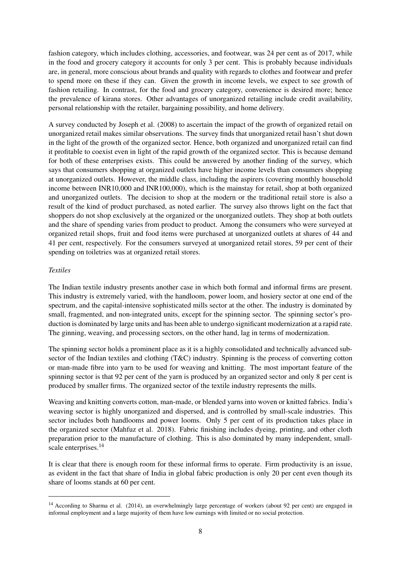fashion category, which includes clothing, accessories, and footwear, was 24 per cent as of 2017, while in the food and grocery category it accounts for only 3 per cent. This is probably because individuals are, in general, more conscious about brands and quality with regards to clothes and footwear and prefer to spend more on these if they can. Given the growth in income levels, we expect to see growth of fashion retailing. In contrast, for the food and grocery category, convenience is desired more; hence the prevalence of kirana stores. Other advantages of unorganized retailing include credit availability, personal relationship with the retailer, bargaining possibility, and home delivery.

A survey conducted by Joseph et al. (2008) to ascertain the impact of the growth of organized retail on unorganized retail makes similar observations. The survey finds that unorganized retail hasn't shut down in the light of the growth of the organized sector. Hence, both organized and unorganized retail can find it profitable to coexist even in light of the rapid growth of the organized sector. This is because demand for both of these enterprises exists. This could be answered by another finding of the survey, which says that consumers shopping at organized outlets have higher income levels than consumers shopping at unorganized outlets. However, the middle class, including the aspirers (covering monthly household income between INR10,000 and INR100,000), which is the mainstay for retail, shop at both organized and unorganized outlets. The decision to shop at the modern or the traditional retail store is also a result of the kind of product purchased, as noted earlier. The survey also throws light on the fact that shoppers do not shop exclusively at the organized or the unorganized outlets. They shop at both outlets and the share of spending varies from product to product. Among the consumers who were surveyed at organized retail shops, fruit and food items were purchased at unorganized outlets at shares of 44 and 41 per cent, respectively. For the consumers surveyed at unorganized retail stores, 59 per cent of their spending on toiletries was at organized retail stores.

#### *Textiles*

The Indian textile industry presents another case in which both formal and informal firms are present. This industry is extremely varied, with the handloom, power loom, and hosiery sector at one end of the spectrum, and the capital-intensive sophisticated mills sector at the other. The industry is dominated by small, fragmented, and non-integrated units, except for the spinning sector. The spinning sector's production is dominated by large units and has been able to undergo significant modernization at a rapid rate. The ginning, weaving, and processing sectors, on the other hand, lag in terms of modernization.

The spinning sector holds a prominent place as it is a highly consolidated and technically advanced subsector of the Indian textiles and clothing (T&C) industry. Spinning is the process of converting cotton or man-made fibre into yarn to be used for weaving and knitting. The most important feature of the spinning sector is that 92 per cent of the yarn is produced by an organized sector and only 8 per cent is produced by smaller firms. The organized sector of the textile industry represents the mills.

Weaving and knitting converts cotton, man-made, or blended yarns into woven or knitted fabrics. India's weaving sector is highly unorganized and dispersed, and is controlled by small-scale industries. This sector includes both handlooms and power looms. Only 5 per cent of its production takes place in the organized sector (Mahfuz et al. 2018). Fabric finishing includes dyeing, printing, and other cloth preparation prior to the manufacture of clothing. This is also dominated by many independent, small-scale enterprises.<sup>[14](#page-2-0)</sup>

It is clear that there is enough room for these informal firms to operate. Firm productivity is an issue, as evident in the fact that share of India in global fabric production is only 20 per cent even though its share of looms stands at 60 per cent.

<sup>&</sup>lt;sup>14</sup> According to Sharma et al. (2014), an overwhelmingly large percentage of workers (about 92 per cent) are engaged in informal employment and a large majority of them have low earnings with limited or no social protection.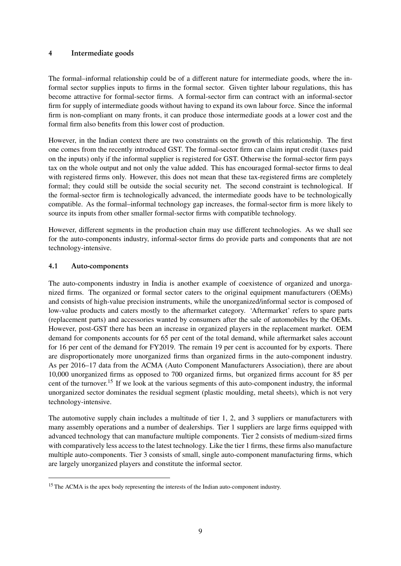# 4 Intermediate goods

The formal–informal relationship could be of a different nature for intermediate goods, where the informal sector supplies inputs to firms in the formal sector. Given tighter labour regulations, this has become attractive for formal-sector firms. A formal-sector firm can contract with an informal-sector firm for supply of intermediate goods without having to expand its own labour force. Since the informal firm is non-compliant on many fronts, it can produce those intermediate goods at a lower cost and the formal firm also benefits from this lower cost of production.

However, in the Indian context there are two constraints on the growth of this relationship. The first one comes from the recently introduced GST. The formal-sector firm can claim input credit (taxes paid on the inputs) only if the informal supplier is registered for GST. Otherwise the formal-sector firm pays tax on the whole output and not only the value added. This has encouraged formal-sector firms to deal with registered firms only. However, this does not mean that these tax-registered firms are completely formal; they could still be outside the social security net. The second constraint is technological. If the formal-sector firm is technologically advanced, the intermediate goods have to be technologically compatible. As the formal–informal technology gap increases, the formal-sector firm is more likely to source its inputs from other smaller formal-sector firms with compatible technology.

However, different segments in the production chain may use different technologies. As we shall see for the auto-components industry, informal-sector firms do provide parts and components that are not technology-intensive.

# 4.1 Auto-components

The auto-components industry in India is another example of coexistence of organized and unorganized firms. The organized or formal sector caters to the original equipment manufacturers (OEMs) and consists of high-value precision instruments, while the unorganized/informal sector is composed of low-value products and caters mostly to the aftermarket category. 'Aftermarket' refers to spare parts (replacement parts) and accessories wanted by consumers after the sale of automobiles by the OEMs. However, post-GST there has been an increase in organized players in the replacement market. OEM demand for components accounts for 65 per cent of the total demand, while aftermarket sales account for 16 per cent of the demand for FY2019. The remain 19 per cent is accounted for by exports. There are disproportionately more unorganized firms than organized firms in the auto-component industry. As per 2016–17 data from the ACMA (Auto Component Manufacturers Association), there are about 10,000 unorganized firms as opposed to 700 organized firms, but organized firms account for 85 per cent of the turnover.[15](#page-2-0) If we look at the various segments of this auto-component industry, the informal unorganized sector dominates the residual segment (plastic moulding, metal sheets), which is not very technology-intensive.

The automotive supply chain includes a multitude of tier 1, 2, and 3 suppliers or manufacturers with many assembly operations and a number of dealerships. Tier 1 suppliers are large firms equipped with advanced technology that can manufacture multiple components. Tier 2 consists of medium-sized firms with comparatively less access to the latest technology. Like the tier 1 firms, these firms also manufacture multiple auto-components. Tier 3 consists of small, single auto-component manufacturing firms, which are largely unorganized players and constitute the informal sector.

<sup>&</sup>lt;sup>15</sup> The ACMA is the apex body representing the interests of the Indian auto-component industry.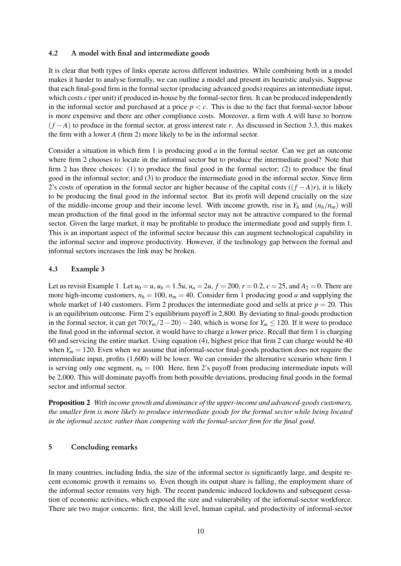#### 4.2 A model with final and intermediate goods

It is clear that both types of links operate across different industries. While combining both in a model makes it harder to analyse formally, we can outline a model and present its heuristic analysis. Suppose that each final-good firm in the formal sector (producing advanced goods) requires an intermediate input, which costs *c* (per unit) if produced in-house by the formal-sector firm. It can be produced independently in the informal sector and purchased at a price  $p < c$ . This is due to the fact that formal-sector labour is more expensive and there are other compliance costs. Moreover, a firm with *A* will have to borrow (*f* −*A*) to produce in the formal sector, at gross interest rate *r*. As discussed in Section 3.3, this makes the firm with a lower *A* (firm 2) more likely to be in the informal sector.

Consider a situation in which firm 1 is producing good *a* in the formal sector. Can we get an outcome where firm 2 chooses to locate in the informal sector but to produce the intermediate good? Note that firm 2 has three choices: (1) to produce the final good in the formal sector; (2) to produce the final good in the informal sector; and (3) to produce the intermediate good in the informal sector. Since firm 2's costs of operation in the formal sector are higher because of the capital costs ((*f* −*A*)*r*), it is likely to be producing the final good in the informal sector. But its profit will depend crucially on the size of the middle-income group and their income level. With income growth, rise in  $Y_h$  and  $(n_h/n_m)$  will mean production of the final good in the informal sector may not be attractive compared to the formal sector. Given the large market, it may be profitable to produce the intermediate good and supply firm 1. This is an important aspect of the informal sector because this can augment technological capability in the informal sector and improve productivity. However, if the technology gap between the formal and informal sectors increases the link may be broken.

#### 4.3 Example 3

Let us revisit Example 1. Let  $u_0 = u$ ,  $u_b = 1.5u$ ,  $u_a = 2u$ ,  $f = 200$ ,  $r = 0.2$ ,  $c = 25$ , and  $A_2 = 0$ . There are more high-income customers,  $n_h = 100$ ,  $n_m = 40$ . Consider firm 1 producing good *a* and supplying the whole market of 140 customers. Firm 2 produces the intermediate good and sells at price  $p = 20$ . This is an equilibrium outcome. Firm 2's equilibrium payoff is 2,800. By deviating to final-goods production in the formal sector, it can get  $70(Y_m/2-20)-240$ , which is worse for  $Y_m \le 120$ . If it were to produce the final good in the informal sector, it would have to charge a lower price. Recall that firm 1 is charging 60 and servicing the entire market. Using equation (4), highest price that firm 2 can charge would be 40 when  $Y_m = 120$ . Even when we assume that informal-sector final-goods production does not require the intermediate input, profits (1,600) will be lower. We can consider the alternative scenario where firm 1 is serving only one segment,  $n_h = 100$ . Here, firm 2's payoff from producing intermediate inputs will be 2,000. This will dominate payoffs from both possible deviations, producing final goods in the formal sector and informal sector.

Proposition 2 *With income growth and dominance of the upper-income and advanced-goods customers, the smaller firm is more likely to produce intermediate goods for the formal sector while being located in the informal sector, rather than competing with the formal-sector firm for the final good.*

#### 5 Concluding remarks

In many countries, including India, the size of the informal sector is significantly large, and despite recent economic growth it remains so. Even though its output share is falling, the employment share of the informal sector remains very high. The recent pandemic induced lockdowns and subsequent cessation of economic activities, which exposed the size and vulnerability of the informal-sector workforce. There are two major concerns: first, the skill level, human capital, and productivity of informal-sector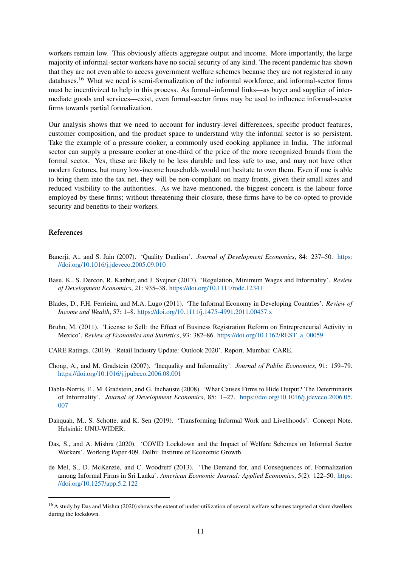workers remain low. This obviously affects aggregate output and income. More importantly, the large majority of informal-sector workers have no social security of any kind. The recent pandemic has shown that they are not even able to access government welfare schemes because they are not registered in any databases.<sup>[16](#page-2-0)</sup> What we need is semi-formalization of the informal workforce, and informal-sector firms must be incentivized to help in this process. As formal–informal links—as buyer and supplier of intermediate goods and services—exist, even formal-sector firms may be used to influence informal-sector firms towards partial formalization.

Our analysis shows that we need to account for industry-level differences, specific product features, customer composition, and the product space to understand why the informal sector is so persistent. Take the example of a pressure cooker, a commonly used cooking appliance in India. The informal sector can supply a pressure cooker at one-third of the price of the more recognized brands from the formal sector. Yes, these are likely to be less durable and less safe to use, and may not have other modern features, but many low-income households would not hesitate to own them. Even if one is able to bring them into the tax net, they will be non-compliant on many fronts, given their small sizes and reduced visibility to the authorities. As we have mentioned, the biggest concern is the labour force employed by these firms; without threatening their closure, these firms have to be co-opted to provide security and benefits to their workers.

# References

- Banerji, A., and S. Jain (2007). 'Quality Dualism'. *Journal of Development Economics*, 84: 237–50. [https:](https://doi.org/10.1016/j.jdeveco.2005.09.010) [//doi.org/10.1016/j.jdeveco.2005.09.010](https://doi.org/10.1016/j.jdeveco.2005.09.010)
- Basu, K., S. Dercon, R. Kanbur, and J. Svejner (2017). 'Regulation, Minimum Wages and Informality'. *Review of Development Economics*, 21: 935–38. <https://doi.org/10.1111/rode.12341>
- Blades, D., F.H. Ferrieira, and M.A. Lugo (2011). 'The Informal Economy in Developing Countries'. *Review of Income and Wealth*, 57: 1–8. <https://doi.org/10.1111/j.1475-4991.2011.00457.x>
- Bruhn, M. (2011). 'License to Sell: the Effect of Business Registration Reform on Entrepreneurial Activity in Mexico'. *Review of Economics and Statistics*, 93: 382–86. [https://doi.org/10.1162/REST\\_a\\_00059](https://doi.org/10.1162/REST_a_00059)
- CARE Ratings. (2019). 'Retail Industry Update: Outlook 2020'. Report. Mumbai: CARE.
- Chong, A., and M. Gradstein (2007). 'Inequality and Informality'. *Journal of Public Economics*, 91: 159–79. <https://doi.org/10.1016/j.jpubeco.2006.08.001>
- Dabla-Norris, E., M. Gradstein, and G. Inchauste (2008). 'What Causes Firms to Hide Output? The Determinants of Informality'. *Journal of Development Economics*, 85: 1–27. [https://doi.org/10.1016/j.jdeveco.2006.05.](https://doi.org/10.1016/j.jdeveco.2006.05.007) [007](https://doi.org/10.1016/j.jdeveco.2006.05.007)
- Danquah, M., S. Schotte, and K. Sen (2019). 'Transforming Informal Work and Livelihoods'. Concept Note. Helsinki: UNU-WIDER.
- Das, S., and A. Mishra (2020). 'COVID Lockdown and the Impact of Welfare Schemes on Informal Sector Workers'. Working Paper 409. Delhi: Institute of Economic Growth.
- de Mel, S., D. McKenzie, and C. Woodruff (2013). 'The Demand for, and Consequences of, Formalization among Informal Firms in Sri Lanka'. *American Economic Journal: Applied Economics*, 5(2): 122–50. [https:](https://doi.org/10.1257/app.5.2.122) [//doi.org/10.1257/app.5.2.122](https://doi.org/10.1257/app.5.2.122)

<sup>&</sup>lt;sup>16</sup> A study by Das and Mishra (2020) shows the extent of under-utilization of several welfare schemes targeted at slum dwellers during the lockdown.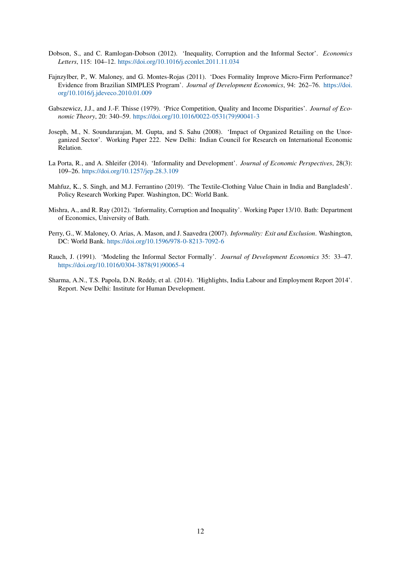- Dobson, S., and C. Ramlogan-Dobson (2012). 'Inequality, Corruption and the Informal Sector'. *Economics Letters*, 115: 104–12. <https://doi.org/10.1016/j.econlet.2011.11.034>
- Fajnzylber, P., W. Maloney, and G. Montes-Rojas (2011). 'Does Formality Improve Micro-Firm Performance? Evidence from Brazilian SIMPLES Program'. *Journal of Development Economics*, 94: 262–76. [https://doi.](https://doi.org/10.1016/j.jdeveco.2010.01.009) [org/10.1016/j.jdeveco.2010.01.009](https://doi.org/10.1016/j.jdeveco.2010.01.009)
- Gabszewicz, J.J., and J.-F. Thisse (1979). 'Price Competition, Quality and Income Disparities'. *Journal of Economic Theory*, 20: 340–59. [https://doi.org/10.1016/0022-0531\(79\)90041-3](https://doi.org/10.1016/0022-0531(79)90041-3)
- Joseph, M., N. Soundararajan, M. Gupta, and S. Sahu (2008). 'Impact of Organized Retailing on the Unorganized Sector'. Working Paper 222. New Delhi: Indian Council for Research on International Economic Relation.
- La Porta, R., and A. Shleifer (2014). 'Informality and Development'. *Journal of Economic Perspectives*, 28(3): 109–26. <https://doi.org/10.1257/jep.28.3.109>
- Mahfuz, K., S. Singh, and M.J. Ferrantino (2019). 'The Textile-Clothing Value Chain in India and Bangladesh'. Policy Research Working Paper. Washington, DC: World Bank.
- Mishra, A., and R. Ray (2012). 'Informality, Corruption and Inequality'. Working Paper 13/10. Bath: Department of Economics, University of Bath.
- Perry, G., W. Maloney, O. Arias, A. Mason, and J. Saavedra (2007). *Informality: Exit and Exclusion*. Washington, DC: World Bank. <https://doi.org/10.1596/978-0-8213-7092-6>
- Rauch, J. (1991). 'Modeling the Informal Sector Formally'. *Journal of Development Economics* 35: 33–47. [https://doi.org/10.1016/0304-3878\(91\)90065-4](https://doi.org/10.1016/0304-3878(91)90065-4)
- Sharma, A.N., T.S. Papola, D.N. Reddy, et al. (2014). 'Highlights, India Labour and Employment Report 2014'. Report. New Delhi: Institute for Human Development.